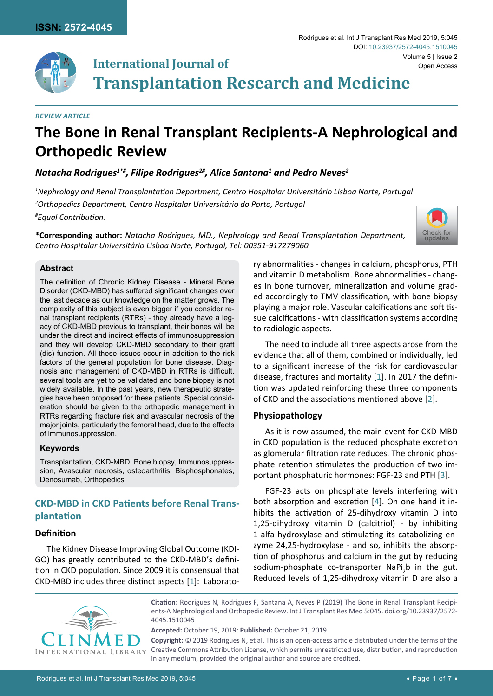

# **International Journal of Transplantation Research and Medicine**

#### *Review Article*

# **The Bone in Renal Transplant Recipients-A Nephrological and Orthopedic Review**

# *Natacha Rodrigues1\*#, Filipe Rodrigues2#, Alice Santana1 and Pedro Neves2*

*1 Nephrology and Renal Transplantation Department, Centro Hospitalar Universitário Lisboa Norte, Portugal 2 Orthopedics Department, Centro Hospitalar Universitário do Porto, Portugal # Equal Contribution.*

**\*Corresponding author:** *Natacha Rodrigues, MD., Nephrology and Renal Transplantation Department, Centro Hospitalar Universitário Lisboa Norte, Portugal, Tel: 00351-917279060*



## **Abstract**

The definition of Chronic Kidney Disease - Mineral Bone Disorder (CKD-MBD) has suffered significant changes over the last decade as our knowledge on the matter grows. The complexity of this subject is even bigger if you consider renal transplant recipients (RTRs) - they already have a legacy of CKD-MBD previous to transplant, their bones will be under the direct and indirect effects of immunosuppression and they will develop CKD-MBD secondary to their graft (dis) function. All these issues occur in addition to the risk factors of the general population for bone disease. Diagnosis and management of CKD-MBD in RTRs is difficult, several tools are yet to be validated and bone biopsy is not widely available. In the past years, new therapeutic strategies have been proposed for these patients. Special consideration should be given to the orthopedic management in RTRs regarding fracture risk and avascular necrosis of the major joints, particularly the femoral head, due to the effects of immunosuppression.

## **Keywords**

Transplantation, CKD-MBD, Bone biopsy, Immunosuppression, Avascular necrosis, osteoarthritis, Bisphosphonates, Denosumab, Orthopedics

# **CKD-MBD in CKD Patients before Renal Transplantation**

# **Definition**

The Kidney Disease Improving Global Outcome (KDI-GO) has greatly contributed to the CKD-MBD's definition in CKD population. Since 2009 it is consensual that CKD-MBD includes three distinct aspects [[1](#page-4-0)]: Laboratory abnormalities - changes in calcium, phosphorus, PTH and vitamin D metabolism. Bone abnormalities - changes in bone turnover, mineralization and volume graded accordingly to TMV classification, with bone biopsy playing a major role. Vascular calcifications and soft tissue calcifications - with classification systems according to radiologic aspects.

The need to include all three aspects arose from the evidence that all of them, combined or individually, led to a significant increase of the risk for cardiovascular disease, fractures and mortality [[1](#page-4-0)]. In 2017 the definition was updated reinforcing these three components of CKD and the associations mentioned above [[2](#page-4-1)].

# **Physiopathology**

As it is now assumed, the main event for CKD-MBD in CKD population is the reduced phosphate excretion as glomerular filtration rate reduces. The chronic phosphate retention stimulates the production of two important phosphaturic hormones: FGF-23 and PTH [[3\]](#page-4-2).

FGF-23 acts on phosphate levels interfering with both absorption and excretion [[4\]](#page-4-3). On one hand it inhibits the activation of 25-dihydroxy vitamin D into 1,25-dihydroxy vitamin D (calcitriol) - by inhibiting 1-alfa hydroxylase and stimulating its catabolizing enzyme 24,25-hydroxylase - and so, inhibits the absorption of phosphorus and calcium in the gut by reducing sodium-phosphate co-transporter NaPi<sub>2</sub>b in the gut. Reduced levels of 1,25-dihydroxy vitamin D are also a



**Citation:** Rodrigues N, Rodrigues F, Santana A, Neves P (2019) The Bone in Renal Transplant Recipients-A Nephrological and Orthopedic Review. Int J Transplant Res Med 5:045. [doi.org/10.23937/2572-](https://doi.org/10.23937/2572-4045.1510045) [4045.1510045](https://doi.org/10.23937/2572-4045.1510045)

**Accepted:** October 19, 2019: **Published:** October 21, 2019

**Copyright:** © 2019 Rodrigues N, et al. This is an open-access article distributed under the terms of the Creative Commons Attribution License, which permits unrestricted use, distribution, and reproduction in any medium, provided the original author and source are credited.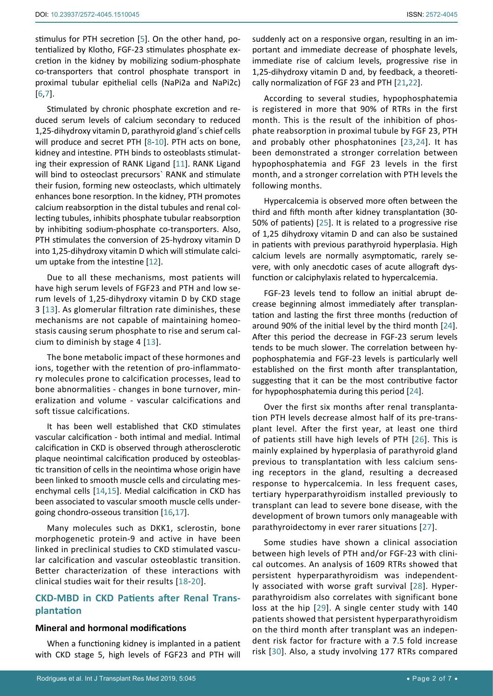stimulus for PTH secretion [[5\]](#page-4-4). On the other hand, potentialized by Klotho, FGF-23 stimulates phosphate excretion in the kidney by mobilizing sodium-phosphate co-transporters that control phosphate transport in proximal tubular epithelial cells (NaPi2a and NaPi2c) [[6](#page-4-5)[,7\]](#page-4-6).

Stimulated by chronic phosphate excretion and reduced serum levels of calcium secondary to reduced 1,25-dihydroxy vitamin D, parathyroid gland´s chief cells will produce and secret PTH [[8](#page-4-7)-[10](#page-5-10)]. PTH acts on bone, kidney and intestine. PTH binds to osteoblasts stimulating their expression of RANK Ligand [[11](#page-5-11)]. RANK Ligand will bind to osteoclast precursors` RANK and stimulate their fusion, forming new osteoclasts, which ultimately enhances bone resorption. In the kidney, PTH promotes calcium reabsorption in the distal tubules and renal collecting tubules, inhibits phosphate tubular reabsorption by inhibiting sodium-phosphate co-transporters. Also, PTH stimulates the conversion of 25-hydroxy vitamin D into 1,25-dihydroxy vitamin D which will stimulate calcium uptake from the intestine [[12\]](#page-5-12).

Due to all these mechanisms, most patients will have high serum levels of FGF23 and PTH and low serum levels of 1,25-dihydroxy vitamin D by CKD stage 3 [[13](#page-5-13)]. As glomerular filtration rate diminishes, these mechanisms are not capable of maintaining homeostasis causing serum phosphate to rise and serum calcium to diminish by stage 4 [[13](#page-5-13)].

The bone metabolic impact of these hormones and ions, together with the retention of pro-inflammatory molecules prone to calcification processes, lead to bone abnormalities - changes in bone turnover, mineralization and volume - vascular calcifications and soft tissue calcifications.

It has been well established that CKD stimulates vascular calcification - both intimal and medial. Intimal calcification in CKD is observed through atherosclerotic plaque neointimal calcification produced by osteoblastic transition of cells in the neointima whose origin have been linked to smooth muscle cells and circulating mesenchymal cells [[14,](#page-5-14)[15](#page-5-15)]. Medial calcification in CKD has been associated to vascular smooth muscle cells undergoing chondro-osseous transition [[16](#page-5-16)[,17\]](#page-5-17).

Many molecules such as DKK1, sclerostin, bone morphogenetic protein-9 and active in have been linked in preclinical studies to CKD stimulated vascular calcification and vascular osteoblastic transition. Better characterization of these interactions with clinical studies wait for their results [[18](#page-5-18)-[20](#page-5-19)].

# **CKD-MBD in CKD Patients after Renal Transplantation**

#### **Mineral and hormonal modifications**

When a functioning kidney is implanted in a patient with CKD stage 5, high levels of FGF23 and PTH will suddenly act on a responsive organ, resulting in an important and immediate decrease of phosphate levels, immediate rise of calcium levels, progressive rise in 1,25-dihydroxy vitamin D and, by feedback, a theoretically normalization of FGF 23 and PTH [[21,](#page-5-0)[22](#page-5-1)].

According to several studies, hypophosphatemia is registered in more that 90% of RTRs in the first month. This is the result of the inhibition of phosphate reabsorption in proximal tubule by FGF 23, PTH and probably other phosphatonines [[23](#page-5-2),[24\]](#page-5-3). It has been demonstrated a stronger correlation between hypophosphatemia and FGF 23 levels in the first month, and a stronger correlation with PTH levels the following months.

Hypercalcemia is observed more often between the third and fifth month after kidney transplantation (30- 50% of patients) [[25\]](#page-5-4). It is related to a progressive rise of 1,25 dihydroxy vitamin D and can also be sustained in patients with previous parathyroid hyperplasia. High calcium levels are normally asymptomatic, rarely severe, with only anecdotic cases of acute allograft dysfunction or calciphylaxis related to hypercalcemia.

FGF-23 levels tend to follow an initial abrupt decrease beginning almost immediately after transplantation and lasting the first three months (reduction of around 90% of the initial level by the third month [[24\]](#page-5-3). After this period the decrease in FGF-23 serum levels tends to be much slower. The correlation between hypophosphatemia and FGF-23 levels is particularly well established on the first month after transplantation, suggesting that it can be the most contributive factor for hypophosphatemia during this period [[24\]](#page-5-3).

Over the first six months after renal transplantation PTH levels decrease almost half of its pre-transplant level. After the first year, at least one third of patients still have high levels of PTH [[26\]](#page-5-5). This is mainly explained by hyperplasia of parathyroid gland previous to transplantation with less calcium sensing receptors in the gland, resulting a decreased response to hypercalcemia. In less frequent cases, tertiary hyperparathyroidism installed previously to transplant can lead to severe bone disease, with the development of brown tumors only manageable with parathyroidectomy in ever rarer situations [[27\]](#page-5-6).

Some studies have shown a clinical association between high levels of PTH and/or FGF-23 with clinical outcomes. An analysis of 1609 RTRs showed that persistent hyperparathyroidism was independently associated with worse graft survival [[28](#page-5-7)]. Hyperparathyroidism also correlates with significant bone loss at the hip [[29\]](#page-5-8). A single center study with 140 patients showed that persistent hyperparathyroidism on the third month after transplant was an independent risk factor for fracture with a 7.5 fold increase risk [[30](#page-5-9)]. Also, a study involving 177 RTRs compared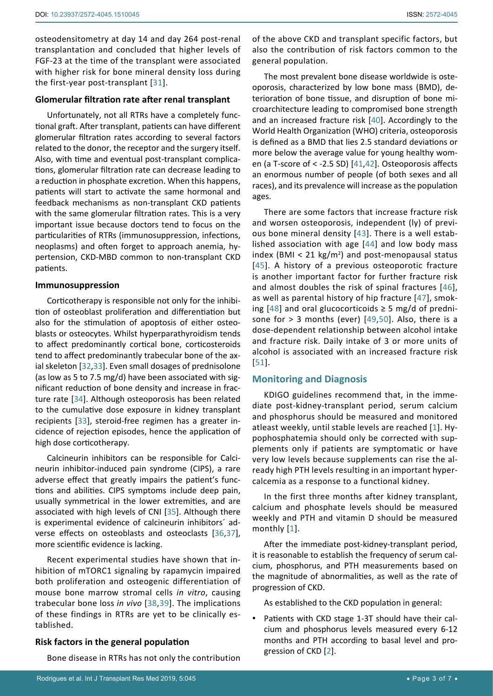osteodensitometry at day 14 and day 264 post-renal transplantation and concluded that higher levels of FGF-23 at the time of the transplant were associated with higher risk for bone mineral density loss during the first-year post-transplant [[31](#page-5-23)].

## **Glomerular filtration rate after renal transplant**

Unfortunately, not all RTRs have a completely functional graft. After transplant, patients can have different glomerular filtration rates according to several factors related to the donor, the receptor and the surgery itself. Also, with time and eventual post-transplant complications, glomerular filtration rate can decrease leading to a reduction in phosphate excretion. When this happens, patients will start to activate the same hormonal and feedback mechanisms as non-transplant CKD patients with the same glomerular filtration rates. This is a very important issue because doctors tend to focus on the particularities of RTRs (immunosuppression, infections, neoplasms) and often forget to approach anemia, hypertension, CKD-MBD common to non-transplant CKD patients.

#### **Immunosuppression**

Corticotherapy is responsible not only for the inhibition of osteoblast proliferation and differentiation but also for the stimulation of apoptosis of either osteoblasts or osteocytes. Whilst hyperparathyroidism tends to affect predominantly cortical bone, corticosteroids tend to affect predominantly trabecular bone of the axial skeleton [[32,](#page-5-24)[33](#page-5-25)]. Even small dosages of prednisolone (as low as 5 to 7.5 mg/d) have been associated with significant reduction of bone density and increase in fracture rate [[34](#page-5-26)]. Although osteoporosis has been related to the cumulative dose exposure in kidney transplant recipients [[33](#page-5-25)], steroid-free regimen has a greater incidence of rejection episodes, hence the application of high dose corticotherapy.

Calcineurin inhibitors can be responsible for Calcineurin inhibitor-induced pain syndrome (CIPS), a rare adverse effect that greatly impairs the patient's functions and abilities. CIPS symptoms include deep pain, usually symmetrical in the lower extremities, and are associated with high levels of CNI [[35\]](#page-5-27). Although there is experimental evidence of calcineurin inhibitors´ adverse effects on osteoblasts and osteoclasts [[36,](#page-5-28)[37](#page-5-29)], more scientific evidence is lacking.

Recent experimental studies have shown that inhibition of mTORC1 signaling by rapamycin impaired both proliferation and osteogenic differentiation of mouse bone marrow stromal cells *in vitro*, causing trabecular bone loss *in vivo* [[38,](#page-5-30)[39](#page-5-31)]. The implications of these findings in RTRs are yet to be clinically established.

# **Risk factors in the general population**

Bone disease in RTRs has not only the contribution

of the above CKD and transplant specific factors, but also the contribution of risk factors common to the general population.

The most prevalent bone disease worldwide is osteoporosis, characterized by low bone mass (BMD), deterioration of bone tissue, and disruption of bone microarchitecture leading to compromised bone strength and an increased fracture risk [[40](#page-5-20)]. Accordingly to the World Health Organization (WHO) criteria, osteoporosis is defined as a BMD that lies 2.5 standard deviations or more below the average value for young healthy women (a T-score of < -2.5 SD) [[41](#page-5-21)[,42](#page-5-22)]. Osteoporosis affects an enormous number of people (of both sexes and all races), and its prevalence will increase as the population ages.

There are some factors that increase fracture risk and worsen osteoporosis, independent (ly) of previous bone mineral density [[43](#page-6-0)]. There is a well established association with age [[44](#page-6-1)] and low body mass index (BMI < 21  $kg/m<sup>2</sup>$ ) and post-menopausal status [[45](#page-6-2)]. A history of a previous osteoporotic fracture is another important factor for further fracture risk and almost doubles the risk of spinal fractures [[46](#page-6-3)], as well as parental history of hip fracture [[47](#page-6-4)], smoking  $[48]$  $[48]$  $[48]$  and oral glucocorticoids  $\geq$  5 mg/d of prednisone for  $> 3$  months (ever) [[49,](#page-6-6)[50](#page-6-7)]. Also, there is a dose-dependent relationship between alcohol intake and fracture risk. Daily intake of 3 or more units of alcohol is associated with an increased fracture risk [[51\]](#page-6-8).

# **Monitoring and Diagnosis**

KDIGO guidelines recommend that, in the immediate post-kidney-transplant period, serum calcium and phosphorus should be measured and monitored atleast weekly, until stable levels are reached [[1](#page-4-0)]. Hypophosphatemia should only be corrected with supplements only if patients are symptomatic or have very low levels because supplements can rise the already high PTH levels resulting in an important hypercalcemia as a response to a functional kidney.

In the first three months after kidney transplant, calcium and phosphate levels should be measured weekly and PTH and vitamin D should be measured monthly [[1\]](#page-4-0).

After the immediate post-kidney-transplant period, it is reasonable to establish the frequency of serum calcium, phosphorus, and PTH measurements based on the magnitude of abnormalities, as well as the rate of progression of CKD.

As established to the CKD population in general:

• Patients with CKD stage 1-3T should have their calcium and phosphorus levels measured every 6-12 months and PTH according to basal level and progression of CKD [[2](#page-4-1)].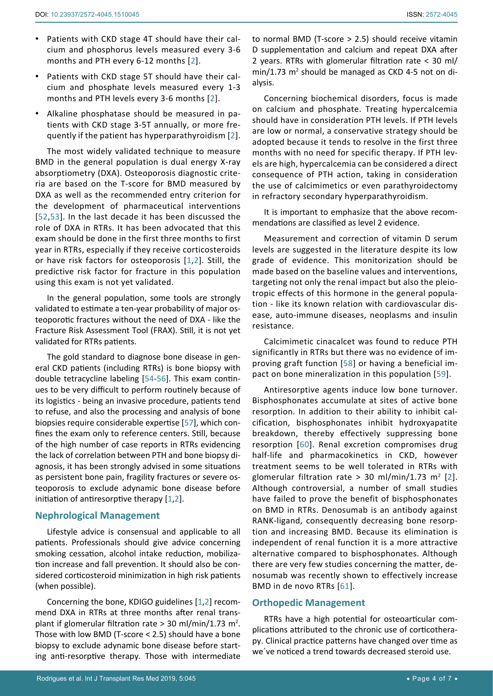- • Patients with CKD stage 4T should have their calcium and phosphorus levels measured every 3-6 months and PTH every 6-12 months [[2](#page-4-1)].
- • Patients with CKD stage 5T should have their calcium and phosphate levels measured every 1-3 months and PTH levels every 3-6 months [[2\]](#page-4-1).
- • Alkaline phosphatase should be measured in patients with CKD stage 3-5T annually, or more frequently if the patient has hyperparathyroidism [[2](#page-4-1)].

The most widely validated technique to measure BMD in the general population is dual energy X-ray absorptiometry (DXA). Osteoporosis diagnostic criteria are based on the T-score for BMD measured by DXA as well as the recommended entry criterion for the development of pharmaceutical interventions [[52,](#page-6-13)[53](#page-6-14)]. In the last decade it has been discussed the role of DXA in RTRs. It has been advocated that this exam should be done in the first three months to first year in RTRs, especially if they receive corticosteroids or have risk factors for osteoporosis [[1](#page-4-0)[,2](#page-4-1)]. Still, the predictive risk factor for fracture in this population using this exam is not yet validated.

In the general population, some tools are strongly validated to estimate a ten-year probability of major osteoporotic fractures without the need of DXA - like the Fracture Risk Assessment Tool (FRAX). Still, it is not yet validated for RTRs patients.

The gold standard to diagnose bone disease in general CKD patients (including RTRs) is bone biopsy with double tetracycline labeling [[54](#page-6-15)[-56](#page-6-16)]. This exam continues to be very difficult to perform routinely because of its logistics - being an invasive procedure, patients tend to refuse, and also the processing and analysis of bone biopsies require considerable expertise [[57\]](#page-6-17), which confines the exam only to reference centers. Still, because of the high number of case reports in RTRs evidencing the lack of correlation between PTH and bone biopsy diagnosis, it has been strongly advised in some situations as persistent bone pain, fragility fractures or severe osteoporosis to exclude adynamic bone disease before initiation of antiresorptive therapy [[1](#page-4-0),[2](#page-4-1)].

# **Nephrological Management**

Lifestyle advice is consensual and applicable to all patients. Professionals should give advice concerning smoking cessation, alcohol intake reduction, mobilization increase and fall prevention. It should also be considered corticosteroid minimization in high risk patients (when possible).

Concerning the bone, KDIGO guidelines [[1](#page-4-0)[,2](#page-4-1)] recommend DXA in RTRs at three months after renal transplant if glomerular filtration rate  $>$  30 ml/min/1.73 m<sup>2</sup>. Those with low BMD (T-score < 2.5) should have a bone biopsy to exclude adynamic bone disease before starting anti-resorptive therapy. Those with intermediate

to normal BMD (T-score > 2.5) should receive vitamin D supplementation and calcium and repeat DXA after 2 years. RTRs with glomerular filtration rate < 30 ml/  $min/1.73$   $m<sup>2</sup>$  should be managed as CKD 4-5 not on dialysis.

Concerning biochemical disorders, focus is made on calcium and phosphate. Treating hypercalcemia should have in consideration PTH levels. If PTH levels are low or normal, a conservative strategy should be adopted because it tends to resolve in the first three months with no need for specific therapy. If PTH levels are high, hypercalcemia can be considered a direct consequence of PTH action, taking in consideration the use of calcimimetics or even parathyroidectomy in refractory secondary hyperparathyroidism.

It is important to emphasize that the above recommendations are classified as level 2 evidence.

Measurement and correction of vitamin D serum levels are suggested in the literature despite its low grade of evidence. This monitorization should be made based on the baseline values and interventions, targeting not only the renal impact but also the pleiotropic effects of this hormone in the general population - like its known relation with cardiovascular disease, auto-immune diseases, neoplasms and insulin resistance.

Calcimimetic cinacalcet was found to reduce PTH significantly in RTRs but there was no evidence of improving graft function [[58](#page-6-9)] or having a beneficial impact on bone mineralization in this population [[59\]](#page-6-10).

Antiresorptive agents induce low bone turnover. Bisphosphonates accumulate at sites of active bone resorption. In addition to their ability to inhibit calcification, bisphosphonates inhibit hydroxyapatite breakdown, thereby effectively suppressing bone resorption [[60](#page-6-11)]. Renal excretion compromises drug half-life and pharmacokinetics in CKD, however treatment seems to be well tolerated in RTRs with glomerular filtration rate > 30 ml/min/1.73 m<sup>[2](#page-4-1)</sup> [2]. Although controversial, a number of small studies have failed to prove the benefit of bisphosphonates on BMD in RTRs. Denosumab is an antibody against RANK-ligand, consequently decreasing bone resorption and increasing BMD. Because its elimination is independent of renal function it is a more attractive alternative compared to bisphosphonates. Although there are very few studies concerning the matter, denosumab was recently shown to effectively increase BMD in de novo RTRs [[61](#page-6-12)].

## **Orthopedic Management**

RTRs have a high potential for osteoarticular complications attributed to the chronic use of corticotherapy. Clinical practice patterns have changed over time as we´ve noticed a trend towards decreased steroid use.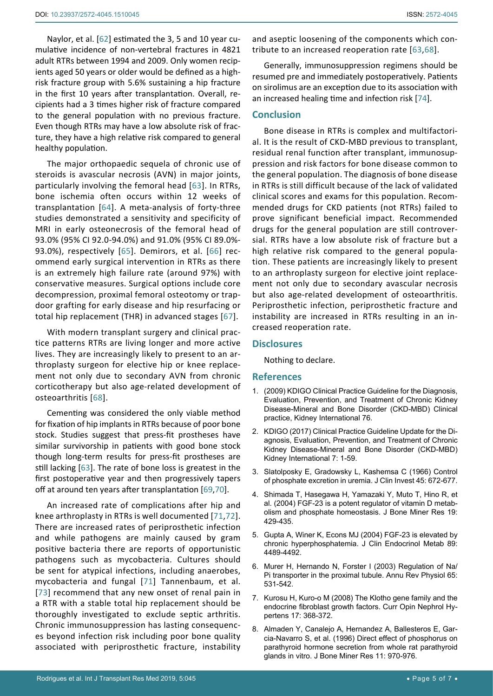Naylor, et al. [[62](#page-6-21)] estimated the 3, 5 and 10 year cumulative incidence of non-vertebral fractures in 4821 adult RTRs between 1994 and 2009. Only women recipients aged 50 years or older would be defined as a highrisk fracture group with 5.6% sustaining a hip fracture in the first 10 years after transplantation. Overall, recipients had a 3 times higher risk of fracture compared to the general population with no previous fracture. Even though RTRs may have a low absolute risk of fracture, they have a high relative risk compared to general healthy population.

The major orthopaedic sequela of chronic use of steroids is avascular necrosis (AVN) in major joints, particularly involving the femoral head [[63\]](#page-6-18). In RTRs, bone ischemia often occurs within 12 weeks of transplantation [[64](#page-6-22)]. A meta-analysis of forty-three studies demonstrated a sensitivity and specificity of MRI in early osteonecrosis of the femoral head of 93.0% (95% CI 92.0-94.0%) and 91.0% (95% CI 89.0%- 93.0%), respectively [[65](#page-6-23)]. Demirors, et al. [[66](#page-6-24)] recommend early surgical intervention in RTRs as there is an extremely high failure rate (around 97%) with conservative measures. Surgical options include core decompression, proximal femoral osteotomy or trapdoor grafting for early disease and hip resurfacing or total hip replacement (THR) in advanced stages [[67\]](#page-6-25).

With modern transplant surgery and clinical practice patterns RTRs are living longer and more active lives. They are increasingly likely to present to an arthroplasty surgeon for elective hip or knee replacement not only due to secondary AVN from chronic corticotherapy but also age-related development of osteoarthritis [[68\]](#page-6-19).

Cementing was considered the only viable method for fixation of hip implants in RTRs because of poor bone stock. Studies suggest that press-fit prostheses have similar survivorship in patients with good bone stock though long-term results for press-fit prostheses are still lacking [[63](#page-6-18)]. The rate of bone loss is greatest in the first postoperative year and then progressively tapers off at around ten years after transplantation [[69,](#page-6-26)[70\]](#page-6-27).

An increased rate of complications after hip and knee arthroplasty in RTRs is well documented [[71,](#page-6-28)[72](#page-6-29)]. There are increased rates of periprosthetic infection and while pathogens are mainly caused by gram positive bacteria there are reports of opportunistic pathogens such as mycobacteria. Cultures should be sent for atypical infections, including anaerobes, mycobacteria and fungal [[71](#page-6-28)] Tannenbaum, et al. [[73](#page-6-30)] recommend that any new onset of renal pain in a RTR with a stable total hip replacement should be thoroughly investigated to exclude septic arthritis. Chronic immunosuppression has lasting consequences beyond infection risk including poor bone quality associated with periprosthetic fracture, instability

and aseptic loosening of the components which contribute to an increased reoperation rate [[63,](#page-6-18)[68](#page-6-19)].

Generally, immunosuppression regimens should be resumed pre and immediately postoperatively. Patients on sirolimus are an exception due to its association with an increased healing time and infection risk [[74\]](#page-6-20).

## **Conclusion**

Bone disease in RTRs is complex and multifactorial. It is the result of CKD-MBD previous to transplant, residual renal function after transplant, immunosuppression and risk factors for bone disease common to the general population. The diagnosis of bone disease in RTRs is still difficult because of the lack of validated clinical scores and exams for this population. Recommended drugs for CKD patients (not RTRs) failed to prove significant beneficial impact. Recommended drugs for the general population are still controversial. RTRs have a low absolute risk of fracture but a high relative risk compared to the general population. These patients are increasingly likely to present to an arthroplasty surgeon for elective joint replacement not only due to secondary avascular necrosis but also age-related development of osteoarthritis. Periprosthetic infection, periprosthetic fracture and instability are increased in RTRs resulting in an increased reoperation rate.

## **Disclosures**

Nothing to declare.

## **References**

- <span id="page-4-0"></span>1. (2009) KDIGO Clinical Practice Guideline for the Diagnosis, Evaluation, Prevention, and Treatment of Chronic Kidney Disease-Mineral and Bone Disorder (CKD-MBD) Clinical practice, Kidney International 76.
- <span id="page-4-1"></span>2. KDIGO (2017) Clinical Practice Guideline Update for the Diagnosis, Evaluation, Prevention, and Treatment of Chronic Kidney Disease-Mineral and Bone Disorder (CKD-MBD) Kidney International 7: 1-59.
- <span id="page-4-2"></span>3. Slatolposky E, Gradowsky L, Kashemsa C (1966) Control of phosphate excretion in uremia. J Clin Invest 45: 672-677.
- <span id="page-4-3"></span>4. [Shimada T, Hasegawa H, Yamazaki Y, Muto T, Hino R, et](https://www.ncbi.nlm.nih.gov/pubmed/15040831)  [al. \(2004\) FGF-23 is a potent regulator of vitamin D metab](https://www.ncbi.nlm.nih.gov/pubmed/15040831)[olism and phosphate homeostasis. J Bone Miner Res 19:](https://www.ncbi.nlm.nih.gov/pubmed/15040831)  [429-435.](https://www.ncbi.nlm.nih.gov/pubmed/15040831)
- <span id="page-4-4"></span>5. [Gupta A, Winer K, Econs MJ \(2004\) FGF-23 is elevated by](https://www.ncbi.nlm.nih.gov/pubmed/15356053)  [chronic hyperphosphatemia. J Clin Endocrinol Metab 89:](https://www.ncbi.nlm.nih.gov/pubmed/15356053)  [4489-4492.](https://www.ncbi.nlm.nih.gov/pubmed/15356053)
- <span id="page-4-5"></span>6. [Murer H, Hernando N, Forster I \(2003\) Regulation of Na/](https://www.ncbi.nlm.nih.gov/pubmed/12517995) [Pi transporter in the proximal tubule. Annu Rev Physiol 65:](https://www.ncbi.nlm.nih.gov/pubmed/12517995)  [531-542.](https://www.ncbi.nlm.nih.gov/pubmed/12517995)
- <span id="page-4-6"></span>7. [Kurosu H, Kuro-o M \(2008\) The Klotho gene family and the](https://www.ncbi.nlm.nih.gov/pubmed/18660672)  [endocrine fibroblast growth factors. Curr Opin Nephrol Hy](https://www.ncbi.nlm.nih.gov/pubmed/18660672)[pertens 17: 368-372.](https://www.ncbi.nlm.nih.gov/pubmed/18660672)
- <span id="page-4-7"></span>8. [Almaden Y, Canalejo A, Hernandez A, Ballesteros E, Gar](https://www.ncbi.nlm.nih.gov/pubmed/8797118)[cia-Navarro S, et al. \(1996\) Direct effect of phosphorus on](https://www.ncbi.nlm.nih.gov/pubmed/8797118)  [parathyroid hormone secretion from whole rat parathyroid](https://www.ncbi.nlm.nih.gov/pubmed/8797118)  [glands in vitro. J Bone Miner Res 11: 970-976.](https://www.ncbi.nlm.nih.gov/pubmed/8797118)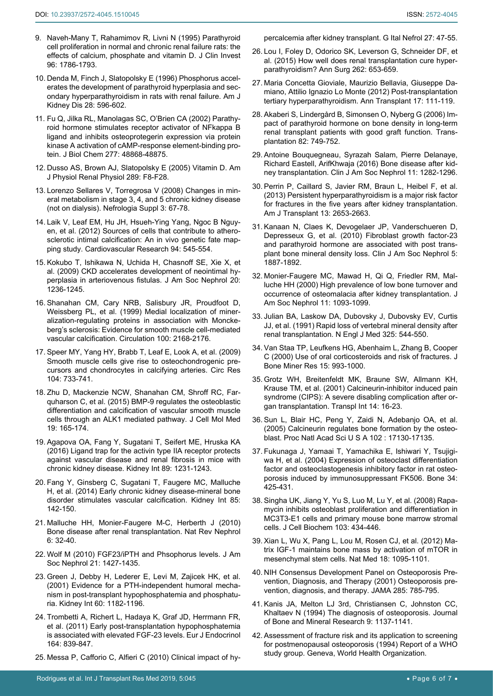- 9. [Naveh-Many T, Rahamimov R, Livni N \(1995\) Parathyroid](https://www.ncbi.nlm.nih.gov/pubmed/7560070)  [cell proliferation in normal and chronic renal failure rats: the](https://www.ncbi.nlm.nih.gov/pubmed/7560070)  [effects of calcium, phosphate and vitamin D. J Clin Invest](https://www.ncbi.nlm.nih.gov/pubmed/7560070)  [96: 1786-1793.](https://www.ncbi.nlm.nih.gov/pubmed/7560070)
- <span id="page-5-10"></span>10. [Denda M, Finch J, Slatopolsky E \(1996\) Phosphorus accel](https://www.ncbi.nlm.nih.gov/pubmed/8840952)[erates the development of parathyroid hyperplasia and sec](https://www.ncbi.nlm.nih.gov/pubmed/8840952)[ondary hyperparathyroidism in rats with renal failure. Am J](https://www.ncbi.nlm.nih.gov/pubmed/8840952)  [Kidney Dis 28: 596-602.](https://www.ncbi.nlm.nih.gov/pubmed/8840952)
- <span id="page-5-11"></span>11. [Fu Q, Jilka RL, Manolagas SC, O'Brien CA \(2002\) Parathy](https://www.ncbi.nlm.nih.gov/pubmed/12364326)[roid hormone stimulates receptor activator of NFkappa B](https://www.ncbi.nlm.nih.gov/pubmed/12364326)  [ligand and inhibits osteoprotegerin expression via protein](https://www.ncbi.nlm.nih.gov/pubmed/12364326)  [kinase A activation of cAMP-response element-binding pro](https://www.ncbi.nlm.nih.gov/pubmed/12364326)[tein. J Biol Chem 277: 48868-48875.](https://www.ncbi.nlm.nih.gov/pubmed/12364326)
- <span id="page-5-12"></span>12. [Dusso AS, Brown AJ, Slatopolsky E \(2005\) Vitamin D. Am](https://www.ncbi.nlm.nih.gov/pubmed/15951480)  [J Physiol Renal Physiol 289: F8-F28.](https://www.ncbi.nlm.nih.gov/pubmed/15951480)
- <span id="page-5-13"></span>13. [Lorenzo Sellares V, Torregrosa V \(2008\) Changes in min](https://www.ncbi.nlm.nih.gov/pubmed/19018742)[eral metabolism in stage 3, 4, and 5 chronic kidney disease](https://www.ncbi.nlm.nih.gov/pubmed/19018742)  [\(not on dialysis\). Nefrologia Suppl 3: 67-78.](https://www.ncbi.nlm.nih.gov/pubmed/19018742)
- <span id="page-5-14"></span>14. [Laik V, Leaf EM, Hu JH, Hsueh-Ying Yang, Ngoc B Nguy](https://academic.oup.com/cardiovascres/article/94/3/545/356338)[en, et al. \(2012\) Sources of cells that contribute to athero](https://academic.oup.com/cardiovascres/article/94/3/545/356338)[sclerotic intimal calcification: An in vivo genetic fate map](https://academic.oup.com/cardiovascres/article/94/3/545/356338)[ping study. Cardiovascular Research 94: 545-554.](https://academic.oup.com/cardiovascres/article/94/3/545/356338)
- <span id="page-5-15"></span>15. [Kokubo T, Ishikawa N, Uchida H, Chasnoff SE, Xie X, et](https://www.ncbi.nlm.nih.gov/pubmed/19423694)  [al. \(2009\) CKD accelerates development of neointimal hy](https://www.ncbi.nlm.nih.gov/pubmed/19423694)[perplasia in arteriovenous fistulas. J Am Soc Nephrol 20:](https://www.ncbi.nlm.nih.gov/pubmed/19423694)  [1236-1245.](https://www.ncbi.nlm.nih.gov/pubmed/19423694)
- <span id="page-5-16"></span>16. [Shanahan CM, Cary NRB, Salisbury JR, Proudfoot D,](https://www.ncbi.nlm.nih.gov/pubmed/10571976)  [Weissberg PL, et al. \(1999\) Medial localization of miner](https://www.ncbi.nlm.nih.gov/pubmed/10571976)[alization-regulating proteins in association with Moncke](https://www.ncbi.nlm.nih.gov/pubmed/10571976)[berg's sclerosis: Evidence for smooth muscle cell-mediated](https://www.ncbi.nlm.nih.gov/pubmed/10571976)  [vascular calcification. Circulation 100: 2168-2176.](https://www.ncbi.nlm.nih.gov/pubmed/10571976)
- <span id="page-5-17"></span>17. [Speer MY, Yang HY, Brabb T, Leaf E, Look A, et al. \(2009\)](https://www.ncbi.nlm.nih.gov/pubmed/19197075)  [Smooth muscle cells give rise to osteochondrogenic pre](https://www.ncbi.nlm.nih.gov/pubmed/19197075)[cursors and chondrocytes in calcifying arteries. Circ Res](https://www.ncbi.nlm.nih.gov/pubmed/19197075)  [104: 733-741.](https://www.ncbi.nlm.nih.gov/pubmed/19197075)
- <span id="page-5-18"></span>18. [Zhu D, Mackenzie NCW, Shanahan CM, Shroff RC, Far](https://www.ncbi.nlm.nih.gov/pubmed/25297851)[quharson C, et al. \(2015\) BMP-9 regulates the osteoblastic](https://www.ncbi.nlm.nih.gov/pubmed/25297851)  [differentiation and calcification of vascular smooth muscle](https://www.ncbi.nlm.nih.gov/pubmed/25297851)  [cells through an ALK1 mediated pathway. J Cell Mol Med](https://www.ncbi.nlm.nih.gov/pubmed/25297851)  [19: 165-174.](https://www.ncbi.nlm.nih.gov/pubmed/25297851)
- 19. [Agapova OA, Fang Y, Sugatani T, Seifert ME, Hruska KA](https://www.ncbi.nlm.nih.gov/pubmed/27165838)  [\(2016\) Ligand trap for the activin type IIA receptor protects](https://www.ncbi.nlm.nih.gov/pubmed/27165838)  [against vascular disease and renal fibrosis in mice with](https://www.ncbi.nlm.nih.gov/pubmed/27165838)  [chronic kidney disease. Kidney Int 89: 1231-1243.](https://www.ncbi.nlm.nih.gov/pubmed/27165838)
- <span id="page-5-19"></span>20. [Fang Y, Ginsberg C, Sugatani T, Faugere MC, Malluche](https://www.ncbi.nlm.nih.gov/pubmed/23884339)  [H, et al. \(2014\) Early chronic kidney disease-mineral bone](https://www.ncbi.nlm.nih.gov/pubmed/23884339)  [disorder stimulates vascular calcification. Kidney Int 85:](https://www.ncbi.nlm.nih.gov/pubmed/23884339)  [142-150.](https://www.ncbi.nlm.nih.gov/pubmed/23884339)
- <span id="page-5-0"></span>21. [Malluche HH, Monier-Faugere M-C, Herberth J \(2010\)](https://www.ncbi.nlm.nih.gov/pmc/articles/PMC4503388/)  [Bone disease after renal transplantation. Nat Rev Nephrol](https://www.ncbi.nlm.nih.gov/pmc/articles/PMC4503388/)  [6: 32-40.](https://www.ncbi.nlm.nih.gov/pmc/articles/PMC4503388/)
- <span id="page-5-1"></span>22. Wolf M (2010) FGF23/iPTH and Phsophorus levels. J Am Soc Nephrol 21: 1427-1435.
- <span id="page-5-2"></span>23. [Green J, Debby H, Lederer E, Levi M, Zajicek HK, et al.](https://www.ncbi.nlm.nih.gov/pubmed/11532115)  [\(2001\) Evidence for a PTH-independent humoral mecha](https://www.ncbi.nlm.nih.gov/pubmed/11532115)[nism in post-transplant hypophosphatemia and phosphatu](https://www.ncbi.nlm.nih.gov/pubmed/11532115)[ria. Kidney Int 60: 1182-1196.](https://www.ncbi.nlm.nih.gov/pubmed/11532115)
- <span id="page-5-3"></span>24. [Trombetti A, Richert L, Hadaya K, Graf JD, Herrmann FR,](https://www.ncbi.nlm.nih.gov/pubmed/21335460)  [et al. \(2011\) Early post-transplantation hypophosphatemia](https://www.ncbi.nlm.nih.gov/pubmed/21335460)  [is associated with elevated FGF-23 levels. Eur J Endocrinol](https://www.ncbi.nlm.nih.gov/pubmed/21335460)  [164: 839-847.](https://www.ncbi.nlm.nih.gov/pubmed/21335460)

<span id="page-5-4"></span>25. [Messa P, Cafforio C, Alfieri C \(2010\) Clinical impact of hy](https://www.ncbi.nlm.nih.gov/pubmed/20191460)-

<span id="page-5-5"></span>[percalcemia after kidney transplant. G Ital Nefrol 27: 47-55.](https://www.ncbi.nlm.nih.gov/pubmed/20191460)

- 26. [Lou I, Foley D, Odorico SK, Leverson G, Schneider DF, et](https://www.ncbi.nlm.nih.gov/pubmed/26366545)  [al. \(2015\) How well does renal transplantation cure hyper](https://www.ncbi.nlm.nih.gov/pubmed/26366545)[parathyroidism? Ann Surg 262: 653-659.](https://www.ncbi.nlm.nih.gov/pubmed/26366545)
- <span id="page-5-6"></span>27. [Maria Concetta Gioviale, Maurizio Bellavia, Giuseppe Da](https://www.ncbi.nlm.nih.gov/pubmed/23018263)[miano, Attilio Ignazio Lo Monte \(2012\) Post-transplantation](https://www.ncbi.nlm.nih.gov/pubmed/23018263)  [tertiary hyperparathyroidism. Ann Transplant 17: 111-119.](https://www.ncbi.nlm.nih.gov/pubmed/23018263)
- <span id="page-5-7"></span>28. [Akaberi S, Lindergård B, Simonsen O, Nyberg G \(2006\) Im](https://www.ncbi.nlm.nih.gov/pubmed/17006320)[pact of parathyroid hormone on bone density in long-term](https://www.ncbi.nlm.nih.gov/pubmed/17006320)  [renal transplant patients with good graft function. Trans](https://www.ncbi.nlm.nih.gov/pubmed/17006320)[plantation 82: 749-752.](https://www.ncbi.nlm.nih.gov/pubmed/17006320)
- <span id="page-5-8"></span>29. [Antoine Bouquegneau, Syrazah Salam, Pierre Delanaye,](https://www.ncbi.nlm.nih.gov/pmc/articles/PMC4934848/)  [Richard Eastell, ArifKhwaja \(2016\) Bone disease after kid](https://www.ncbi.nlm.nih.gov/pmc/articles/PMC4934848/)[ney transplantation. Clin J Am Soc Nephrol 11: 1282-1296.](https://www.ncbi.nlm.nih.gov/pmc/articles/PMC4934848/)
- <span id="page-5-9"></span>30. [Perrin P, Caillard S, Javier RM, Braun L, Heibel F, et al.](https://www.ncbi.nlm.nih.gov/pubmed/24034142)  [\(2013\) Persistent hyperparathyroidism is a major risk factor](https://www.ncbi.nlm.nih.gov/pubmed/24034142)  [for fractures in the five years after kidney transplantation.](https://www.ncbi.nlm.nih.gov/pubmed/24034142)  [Am J Transplant 13: 2653-2663.](https://www.ncbi.nlm.nih.gov/pubmed/24034142)
- <span id="page-5-23"></span>31. [Kanaan N, Claes K, Devogelaer JP, Vanderschueren D,](https://www.ncbi.nlm.nih.gov/pubmed/20634326)  [Depresseux G, et al. \(2010\) Fibroblast growth factor-23](https://www.ncbi.nlm.nih.gov/pubmed/20634326)  [and parathyroid hormone are associated with post trans](https://www.ncbi.nlm.nih.gov/pubmed/20634326)[plant bone mineral density loss. Clin J Am Soc Nephrol 5:](https://www.ncbi.nlm.nih.gov/pubmed/20634326)  [1887-1892.](https://www.ncbi.nlm.nih.gov/pubmed/20634326)
- <span id="page-5-24"></span>32. [Monier-Faugere MC, Mawad H, Qi Q, Friedler RM, Mal](https://www.ncbi.nlm.nih.gov/pubmed/10820173)[luche HH \(2000\) High prevalence of low bone turnover and](https://www.ncbi.nlm.nih.gov/pubmed/10820173)  [occurrence of osteomalacia after kidney transplantation. J](https://www.ncbi.nlm.nih.gov/pubmed/10820173)  [Am Soc Nephrol 11: 1093-1099.](https://www.ncbi.nlm.nih.gov/pubmed/10820173)
- <span id="page-5-25"></span>33. [Julian BA, Laskow DA, Dubovsky J, Dubovsky EV, Curtis](https://www.ncbi.nlm.nih.gov/pubmed/1857390)  JJ, [et al. \(1991\) Rapid loss of vertebral mineral density after](https://www.ncbi.nlm.nih.gov/pubmed/1857390)  [renal transplantation. N Engl J Med 325: 544-550.](https://www.ncbi.nlm.nih.gov/pubmed/1857390)
- <span id="page-5-26"></span>34. [Van Staa TP, Leufkens HG, Abenhaim L, Zhang B, Cooper](https://www.ncbi.nlm.nih.gov/pubmed/10841167)  [C \(2000\) Use of oral corticosteroids and risk of fractures. J](https://www.ncbi.nlm.nih.gov/pubmed/10841167)  [Bone Miner Res 15: 993-1000.](https://www.ncbi.nlm.nih.gov/pubmed/10841167)
- <span id="page-5-27"></span>35. [Grotz WH, Breitenfeldt MK, Braune SW, Allmann KH,](https://www.ncbi.nlm.nih.gov/pubmed/11263551)  [Krause TM, et al. \(2001\) Calcineurin-inhibitor induced pain](https://www.ncbi.nlm.nih.gov/pubmed/11263551)  [syndrome \(CIPS\): A severe disabling complication after or](https://www.ncbi.nlm.nih.gov/pubmed/11263551)[gan transplantation. Transpl Int 14: 16-23.](https://www.ncbi.nlm.nih.gov/pubmed/11263551)
- <span id="page-5-28"></span>36. [Sun L, Blair HC, Peng Y, Zaidi N, Adebanjo OA, et al.](https://www.ncbi.nlm.nih.gov/pubmed/16286645)  [\(2005\) Calcineurin regulates bone formation by the osteo](https://www.ncbi.nlm.nih.gov/pubmed/16286645)[blast. Proc Natl Acad Sci U S A 102 : 17130-17135.](https://www.ncbi.nlm.nih.gov/pubmed/16286645)
- <span id="page-5-29"></span>37. [Fukunaga J, Yamaai T, Yamachika E, Ishiwari Y, Tsujigi](https://www.ncbi.nlm.nih.gov/pubmed/15003790)[wa H, et al. \(2004\) Expression of osteoclast differentiation](https://www.ncbi.nlm.nih.gov/pubmed/15003790)  [factor and osteoclastogenesis inhibitory factor in rat osteo](https://www.ncbi.nlm.nih.gov/pubmed/15003790)[porosis induced by immunosuppressant FK506. Bone](https://www.ncbi.nlm.nih.gov/pubmed/15003790) 34: [425-431.](https://www.ncbi.nlm.nih.gov/pubmed/15003790)
- <span id="page-5-30"></span>38. [Singha UK, Jiang Y, Yu S, Luo M, Lu Y, et al. \(2008\) Rapa](https://www.ncbi.nlm.nih.gov/pubmed/17516572)[mycin inhibits osteoblast proliferation and differentiation in](https://www.ncbi.nlm.nih.gov/pubmed/17516572)  [MC3T3-E1 cells and primary mouse bone marrow stromal](https://www.ncbi.nlm.nih.gov/pubmed/17516572)  [cells. J Cell Biochem 103: 434-446.](https://www.ncbi.nlm.nih.gov/pubmed/17516572)
- <span id="page-5-31"></span>39. [Xian L, Wu X, Pang L, Lou M, Rosen CJ, et al. \(2012\) Ma](https://www.ncbi.nlm.nih.gov/pubmed/22729283)[trix IGF-1 maintains bone mass by activation of mTOR in](https://www.ncbi.nlm.nih.gov/pubmed/22729283)  [mesenchymal stem cells. Nat Med 18: 1095-1101.](https://www.ncbi.nlm.nih.gov/pubmed/22729283)
- <span id="page-5-20"></span>40. [NIH Consensus Development Panel on Osteoporosis Pre](https://www.ncbi.nlm.nih.gov/pubmed/11176917)[vention, Diagnosis, and Therapy \(2001\) Osteoporosis pre](https://www.ncbi.nlm.nih.gov/pubmed/11176917)[vention, diagnosis, and therapy. JAMA 285: 785-795.](https://www.ncbi.nlm.nih.gov/pubmed/11176917)
- <span id="page-5-21"></span>41. [Kanis JA, Melton LJ 3rd, Christiansen C, Johnston CC,](https://www.ncbi.nlm.nih.gov/pubmed/7976495)  [Khaltaev N \(1994\) The diagnosis of osteoporosis. Journal](https://www.ncbi.nlm.nih.gov/pubmed/7976495)  [of Bone and Mineral Research 9: 1137-1141.](https://www.ncbi.nlm.nih.gov/pubmed/7976495)
- <span id="page-5-22"></span>42. Assessment of fracture risk and its application to screening for postmenopausal osteoporosis (1994) Report of a WHO study group. Geneva, World Health Organization.